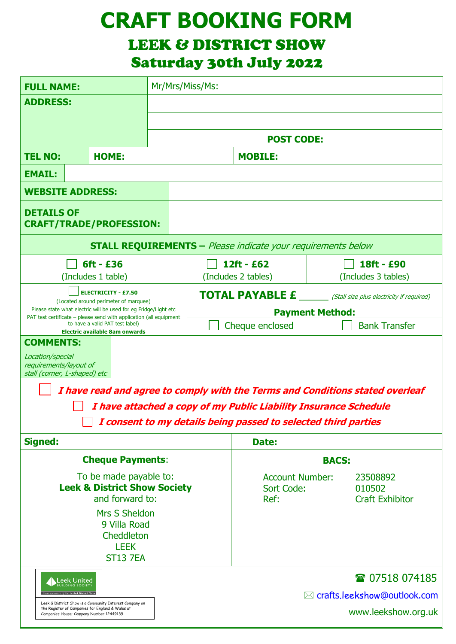# **CRAFT BOOKING FORM**

## LEEK & DISTRICT SHOW

Saturday 30th July 2022

| <b>FULL NAME:</b>                                                                                                                      |  | Mr/Mrs/Miss/Ms:   |                                                                          |  |                               |                                  |  |
|----------------------------------------------------------------------------------------------------------------------------------------|--|-------------------|--------------------------------------------------------------------------|--|-------------------------------|----------------------------------|--|
| <b>ADDRESS:</b>                                                                                                                        |  |                   |                                                                          |  |                               |                                  |  |
|                                                                                                                                        |  |                   |                                                                          |  |                               |                                  |  |
|                                                                                                                                        |  | <b>POST CODE:</b> |                                                                          |  |                               |                                  |  |
| <b>TEL NO:</b><br><b>HOME:</b>                                                                                                         |  | <b>MOBILE:</b>    |                                                                          |  |                               |                                  |  |
| <b>EMAIL:</b>                                                                                                                          |  |                   |                                                                          |  |                               |                                  |  |
| <b>WEBSITE ADDRESS:</b>                                                                                                                |  |                   |                                                                          |  |                               |                                  |  |
| <b>DETAILS OF</b><br><b>CRAFT/TRADE/PROFESSION:</b>                                                                                    |  |                   |                                                                          |  |                               |                                  |  |
| <b>STALL REQUIREMENTS - Please indicate your requirements below</b>                                                                    |  |                   |                                                                          |  |                               |                                  |  |
| $6ft - £36$                                                                                                                            |  |                   | 12ft - £62                                                               |  |                               | 18ft - £90                       |  |
| (Includes 1 table)                                                                                                                     |  |                   | (Includes 2 tables)                                                      |  |                               | (Includes 3 tables)              |  |
| <b>ELECTRICITY - £7.50</b><br>(Located around perimeter of marquee)<br>Please state what electric will be used for eg Fridge/Light etc |  |                   | <b>TOTAL PAYABLE £</b> _______ (Stall size plus electricity if required) |  |                               |                                  |  |
| PAT test certificate - please send with application (all equipment<br>to have a valid PAT test label)                                  |  |                   | <b>Payment Method:</b><br>Cheque enclosed                                |  |                               | <b>Bank Transfer</b>             |  |
| Electric available 8am onwards<br><b>COMMENTS:</b>                                                                                     |  |                   |                                                                          |  |                               |                                  |  |
| Location/special<br>requirements/layout of<br>stall (corner, L-shaped) etc                                                             |  |                   |                                                                          |  |                               |                                  |  |
| I have read and agree to comply with the Terms and Conditions stated overleaf                                                          |  |                   |                                                                          |  |                               |                                  |  |
| I have attached a copy of my Public Liability Insurance Schedule                                                                       |  |                   |                                                                          |  |                               |                                  |  |
| I consent to my details being passed to selected third parties                                                                         |  |                   |                                                                          |  |                               |                                  |  |
| <b>Signed:</b>                                                                                                                         |  |                   | Date:                                                                    |  |                               |                                  |  |
| <b>Cheque Payments:</b>                                                                                                                |  |                   | <b>BACS:</b>                                                             |  |                               |                                  |  |
| To be made payable to:                                                                                                                 |  |                   | <b>Account Number:</b>                                                   |  |                               | 23508892                         |  |
| <b>Leek &amp; District Show Society</b><br>and forward to:                                                                             |  |                   | <b>Sort Code:</b><br>Ref:                                                |  |                               | 010502<br><b>Craft Exhibitor</b> |  |
| Mrs S Sheldon<br>9 Villa Road<br>Cheddleton<br><b>LEEK</b><br><b>ST13 7EA</b>                                                          |  |                   |                                                                          |  |                               |                                  |  |
| Leek United<br><b>ILDING SOCIETY</b>                                                                                                   |  |                   |                                                                          |  |                               | ☎ 07518 074185                   |  |
| Leek & District Show is a Community Interest Company on                                                                                |  |                   |                                                                          |  | ⊠ crafts.leekshow@outlook.com |                                  |  |
| the Register of Companies for England & Wales at<br>www.leekshow.org.uk<br>Companies House; Company Number 12449139                    |  |                   |                                                                          |  |                               |                                  |  |